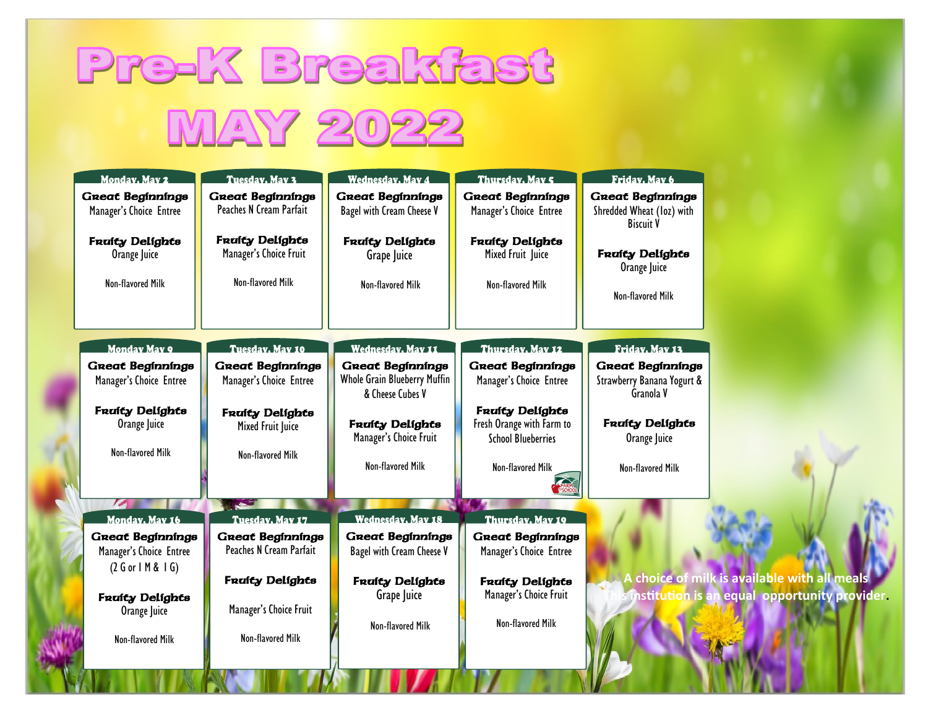## **Pre-K Breakfast** MAY 2022

| Monday, May 2                                      | <b>Tuesday, May 3</b>                              | <b>Wednesday, May 4</b>                              | Thursday, May 5                                    | Friday, May 6                                                            |                                              |
|----------------------------------------------------|----------------------------------------------------|------------------------------------------------------|----------------------------------------------------|--------------------------------------------------------------------------|----------------------------------------------|
| <b>Great Beginnings</b><br>Manager's Choice Entree | <b>Great Beginnings</b><br>Peaches N Cream Parfait | <b>Great Beginnings</b><br>Bagel with Cream Cheese V | <b>Great Beginnings</b><br>Manager's Choice Entree | <b>Great Beginnings</b><br>Shredded Wheat (loz) with<br><b>Biscuit V</b> |                                              |
| <b>Fraity Delights</b><br>Orange Juice             | <b>Fraity Delights</b><br>Manager's Choice Fruit   | <b>Fraity Delights</b><br>Grape Juice                | <b>Fraity Delights</b><br>Mixed Fruit Juice        | <b>Fraity Delights</b><br>Orange Juice                                   |                                              |
| Non-flavored Milk                                  | Non-flavored Milk                                  | Non-flavored Milk                                    | Non-flavored Milk                                  | Non-flavored Milk                                                        |                                              |
| <b>Monday May 9</b>                                | Tuesday, May 10                                    | <b>Wednesday</b> , May 11                            | Thursday, May 12                                   | Friday, May 13                                                           |                                              |
| <b>Great Beginnings</b>                            | <b>Great Beginnings</b>                            | <b>Great Beginnings</b>                              | <b>Great Beginnings</b>                            | <b>Great Beginnings</b>                                                  |                                              |
| Manager's Choice Entree                            | Manager's Choice Entree                            | Whole Grain Blueberry Muffin<br>& Cheese Cubes V     | Manager's Choice Entree                            | Strawberry Banana Yogurt &<br>Granola V                                  |                                              |
| <b>Fraity Delights</b>                             | <b>Fraity Delights</b>                             |                                                      | <b>Fraity Delights</b>                             |                                                                          |                                              |
| Orange Juice                                       | Mixed Fruit Juice                                  | <b>Fraity Delights</b><br>Manager's Choice Fruit     | Fresh Orange with Farm to                          | <b>Fraity Delights</b>                                                   |                                              |
| Non-flavored Milk                                  | Non-flavored Milk                                  |                                                      | <b>School Blueberries</b>                          | Orange Juice                                                             |                                              |
|                                                    |                                                    | Non-flavored Milk                                    | Non-flavored Milk                                  | Non-flavored Milk                                                        |                                              |
|                                                    |                                                    |                                                      |                                                    |                                                                          |                                              |
| $\sqrt{2}$                                         | أتحد                                               |                                                      |                                                    |                                                                          |                                              |
| Monday, May 16                                     | Tuesday, May 17                                    | <b>Wednesday, May 18</b>                             | Thursday, May 19                                   |                                                                          |                                              |
| <b>Great Beginnings</b>                            | <b>Great Beginnings</b>                            | <b>Great Beginnings</b>                              | <b>Great Beginnings</b>                            |                                                                          |                                              |
| Manager's Choice Entree                            | Peaches N Cream Parfait                            | Bagel with Cream Cheese V                            | Manager's Choice Entree                            |                                                                          |                                              |
| (2 G or H & 1 G)                                   | <b>Fraity Delights</b>                             | <b>Fraity Delights</b>                               | <b>Fraity Delights</b>                             |                                                                          | A choice of milk is available with all meals |
| <b>Fraity Delights</b>                             |                                                    | Grape Juice                                          | Manager's Choice Fruit                             | s institution is ar                                                      | equal opportunity provider.                  |
| Orange Juice                                       | Manager's Choice Fruit                             |                                                      |                                                    |                                                                          |                                              |
| Non-flavored Milk                                  | Non-flavored Milk                                  | Non-flavored Milk                                    | Non-flavored Milk                                  |                                                                          |                                              |